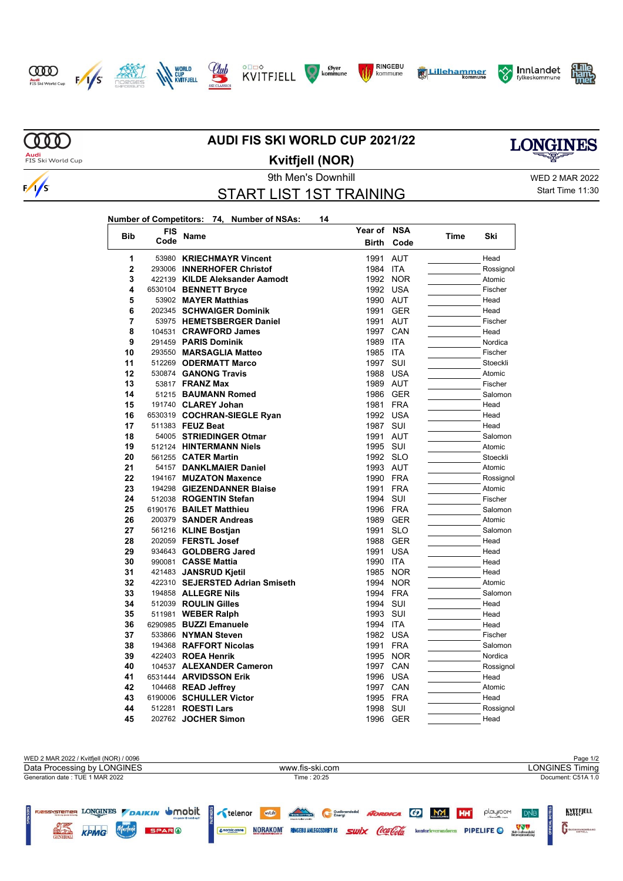















**MOO** 

 $\frac{1}{s}$ 

Audi<br>FIS Ski World Cup

## **AUDI FIS SKI WORLD CUP 2021/22**



**Kvitfjell (NOR)**

START LIST 1ST TRAINING

9th Men's Downhill WED 2 MAR 2022

Start Time 11:30

**Number of Competitors: 74, Number of NSAs: 14**

| <b>Bib</b>     | <b>FIS</b> | Name                            | Year of      | <b>NSA</b> |      |           |
|----------------|------------|---------------------------------|--------------|------------|------|-----------|
|                | Code       |                                 | <b>Birth</b> | Code       | Time | Ski       |
| 1              | 53980      | <b>KRIECHMAYR Vincent</b>       | 1991         | <b>AUT</b> |      | Head      |
| $\overline{2}$ |            | 293006 INNERHOFER Christof      | 1984         | <b>ITA</b> |      | Rossignol |
| 3              |            | 422139 KILDE Aleksander Aamodt  | 1992         | <b>NOR</b> |      | Atomic    |
| 4              |            | 6530104 BENNETT Bryce           | 1992         | <b>USA</b> |      | Fischer   |
| 5              |            | 53902 MAYER Matthias            | 1990         | <b>AUT</b> |      | Head      |
| 6              |            | 202345 SCHWAIGER Dominik        | 1991         | <b>GER</b> |      | Head      |
| 7              |            | 53975 HEMETSBERGER Daniel       | 1991         | <b>AUT</b> |      | Fischer   |
| 8              |            | 104531 CRAWFORD James           | 1997         | CAN        |      | Head      |
| 9              |            | 291459 PARIS Dominik            | 1989         | <b>ITA</b> |      | Nordica   |
| 10             |            | 293550 MARSAGLIA Matteo         | 1985         | <b>ITA</b> |      | Fischer   |
| 11             |            | 512269 ODERMATT Marco           | 1997         | SUI        |      | Stoeckli  |
| 12             |            | 530874 GANONG Travis            | 1988         | <b>USA</b> |      | Atomic    |
| 13             |            | 53817 <b>FRANZ Max</b>          | 1989         | AUT        |      | Fischer   |
| 14             |            | 51215 BAUMANN Romed             | 1986         | <b>GER</b> |      | Salomon   |
| 15             |            | 191740 CLAREY Johan             | 1981         | <b>FRA</b> |      | Head      |
| 16             |            | 6530319 COCHRAN-SIEGLE Ryan     | 1992         | <b>USA</b> |      | Head      |
| 17             |            | 511383 FEUZ Beat                | 1987         | SUI        |      | Head      |
| 18             |            | 54005 STRIEDINGER Otmar         | 1991         | <b>AUT</b> |      | Salomon   |
| 19             |            | 512124 HINTERMANN Niels         | 1995         | SUI        |      | Atomic    |
| 20             |            | 561255 <b>CATER Martin</b>      | 1992         | <b>SLO</b> |      | Stoeckli  |
| 21             |            | 54157 DANKLMAIER Daniel         | 1993         | <b>AUT</b> |      | Atomic    |
| 22             |            | 194167 MUZATON Maxence          | 1990         | <b>FRA</b> |      | Rossignol |
| 23             |            | 194298 GIEZENDANNER Blaise      | 1991         | <b>FRA</b> |      | Atomic    |
| 24             |            | 512038 ROGENTIN Stefan          | 1994         | SUI        |      | Fischer   |
| 25             |            | 6190176 BAILET Matthieu         | 1996         | <b>FRA</b> |      | Salomon   |
| 26             |            | 200379 SANDER Andreas           | 1989         | <b>GER</b> |      | Atomic    |
| 27             |            | 561216 KLINE Bostjan            | 1991         | <b>SLO</b> |      | Salomon   |
| 28             |            | 202059 FERSTL Josef             | 1988         | <b>GER</b> |      | Head      |
| 29             |            | 934643 GOLDBERG Jared           | 1991         | <b>USA</b> |      | Head      |
| 30             |            | 990081 CASSE Mattia             | 1990         | <b>ITA</b> |      | Head      |
| 31             |            | 421483 JANSRUD Kjetil           | 1985         | <b>NOR</b> |      | Head      |
| 32             |            | 422310 SEJERSTED Adrian Smiseth | 1994         | <b>NOR</b> |      | Atomic    |
| 33             |            | 194858 ALLEGRE Nils             | 1994         | <b>FRA</b> |      | Salomon   |
| 34             |            | 512039 ROULIN Gilles            | 1994         | SUI        |      | Head      |
| 35             |            | 511981 WEBER Ralph              | 1993         | SUI        |      | Head      |
| 36             |            | 6290985 BUZZI Emanuele          | 1994         | <b>ITA</b> |      | Head      |
| 37             |            | 533866 NYMAN Steven             | 1982         | <b>USA</b> |      | Fischer   |
| 38             |            | 194368 RAFFORT Nicolas          | 1991         | <b>FRA</b> |      | Salomon   |
| 39             |            | 422403 ROEA Henrik              | 1995         | <b>NOR</b> |      | Nordica   |
| 40             |            | 104537 ALEXANDER Cameron        | 1997         | CAN        |      | Rossignol |
| 41             |            | 6531444 ARVIDSSON Erik          | 1996         | <b>USA</b> |      | Head      |
| 42             |            | 104468 READ Jeffrey             | 1997         | CAN        |      | Atomic    |
| 43             |            | 6190006 SCHULLER Victor         | 1995         | <b>FRA</b> |      | Head      |
| 44             |            | 512281 ROESTI Lars              | 1998         | SUI        |      | Rossignol |
| 45             |            | 202762 JOCHER Simon             | 1996         | <b>GER</b> |      | Head      |